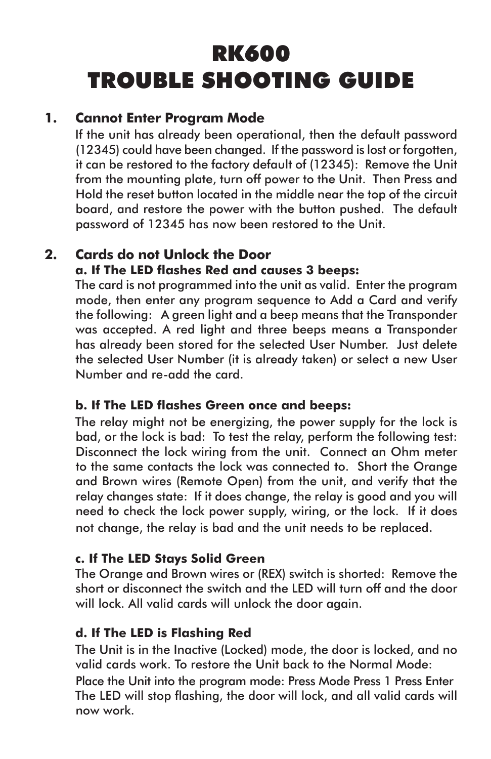# RK600 TROUBLE SHOOTING GUIDE

# **1. Cannot Enter Program Mode**

If the unit has already been operational, then the default password (12345) could have been changed. If the password is lost or forgotten, it can be restored to the factory default of (12345): Remove the Unit from the mounting plate, turn off power to the Unit. Then Press and Hold the reset button located in the middle near the top of the circuit board, and restore the power with the button pushed. The default password of 12345 has now been restored to the Unit.

## **2. Cards do not Unlock the Door**

#### **a. If The LED flashes Red and causes 3 beeps:**

The card is not programmed into the unit as valid. Enter the program mode, then enter any program sequence to Add a Card and verify the following: A green light and a beep means that the Transponder was accepted. A red light and three beeps means a Transponder has already been stored for the selected User Number. Just delete the selected User Number (it is already taken) or select a new User Number and re-add the card.

## **b. If The LED flashes Green once and beeps:**

The relay might not be energizing, the power supply for the lock is bad, or the lock is bad: To test the relay, perform the following test: Disconnect the lock wiring from the unit. Connect an Ohm meter to the same contacts the lock was connected to. Short the Orange and Brown wires (Remote Open) from the unit, and verify that the relay changes state: If it does change, the relay is good and you will need to check the lock power supply, wiring, or the lock. If it does not change, the relay is bad and the unit needs to be replaced.

#### **c. If The LED Stays Solid Green**

 The Orange and Brown wires or (REX) switch is shorted: Remove the short or disconnect the switch and the LED will turn off and the door will lock. All valid cards will unlock the door again.

#### **d. If The LED is Flashing Red**

The Unit is in the Inactive (Locked) mode, the door is locked, and no valid cards work. To restore the Unit back to the Normal Mode:

Place the Unit into the program mode: Press Mode Press 1 Press Enter The LED will stop flashing, the door will lock, and all valid cards will now work.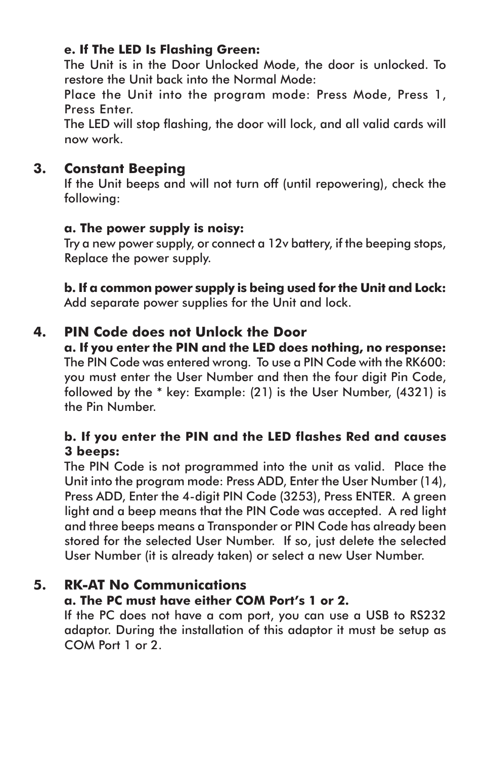## **e. If The LED Is Flashing Green:**

 The Unit is in the Door Unlocked Mode, the door is unlocked. To restore the Unit back into the Normal Mode: 

 Place the Unit into the program mode: Press Mode, Press 1, Press Enter.

 The LED will stop flashing, the door will lock, and all valid cards will now work.

# **3. Constant Beeping**

 If the Unit beeps and will not turn off (until repowering), check the following:

## **a. The power supply is noisy:**

 Try a new power supply, or connect a 12v battery, if the beeping stops, Replace the power supply.

**b. If a common power supply is being used for the Unit and Lock:** Add separate power supplies for the Unit and lock.

# **4. PIN Code does not Unlock the Door**

**a. If you enter the PIN and the LED does nothing, no response:**  The PIN Code was entered wrong. To use a PIN Code with the RK600: you must enter the User Number and then the four digit Pin Code, followed by the \* key: Example: (21) is the User Number, (4321) is the Pin Number.

## **b. If you enter the PIN and the LED flashes Red and causes 3 beeps:**

 The PIN Code is not programmed into the unit as valid. Place the Unit into the program mode: Press ADD, Enter the User Number (14), Press ADD, Enter the 4-digit PIN Code (3253), Press ENTER. A green light and a beep means that the PIN Code was accepted. A red light and three beeps means a Transponder or PIN Code has already been stored for the selected User Number. If so, just delete the selected User Number (it is already taken) or select a new User Number.

# **5. RK-AT No Communications**

# **a. The PC must have either COM Port's 1 or 2.**

 If the PC does not have a com port, you can use a USB to RS232 adaptor. During the installation of this adaptor it must be setup as COM Port 1 or 2.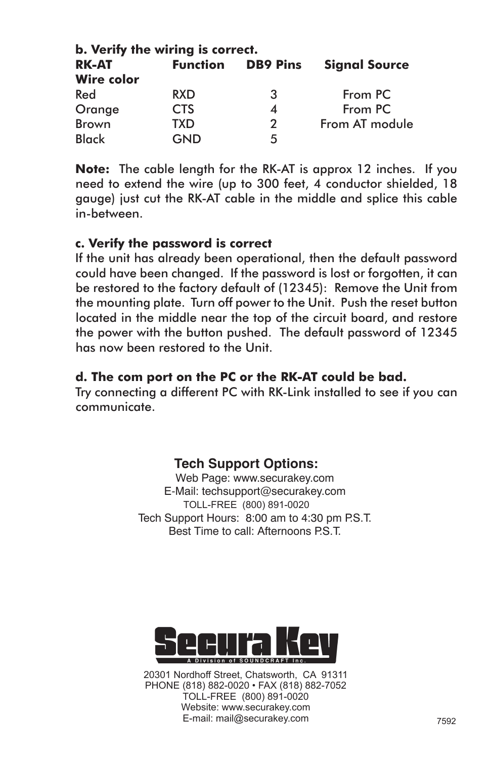| <b>RK-AT</b>      | <b>Function</b> | <b>DB9 Pins</b> | <b>Signal Source</b> |
|-------------------|-----------------|-----------------|----------------------|
| <b>Wire color</b> |                 |                 |                      |
| Red               | <b>RXD</b>      | -3              | From PC              |
| Orange            | <b>CTS</b>      |                 | From PC              |
| <b>Brown</b>      | TXD             | 2               | From AT module       |
| <b>Black</b>      | GND             | 5               |                      |

**Note:** The cable length for the RK-AT is approx 12 inches. If you need to extend the wire (up to 300 feet, 4 conductor shielded, 18 gauge) just cut the RK-AT cable in the middle and splice this cable in-between.

#### **c. Verify the password is correct**

 If the unit has already been operational, then the default password could have been changed. If the password is lost or forgotten, it can be restored to the factory default of (12345): Remove the Unit from the mounting plate. Turn off power to the Unit. Push the reset button located in the middle near the top of the circuit board, and restore the power with the button pushed. The default password of 12345 has now been restored to the Unit.

## **d. The com port on the PC or the RK-AT could be bad.**

 Try connecting a different PC with RK-Link installed to see if you can communicate.

## **Tech Support Options:**

Web Page: www.securakey.com E-Mail: techsupport@securakey.com TOLL-FREE (800) 891-0020 Tech Support Hours: 8:00 am to 4:30 pm P.S.T. Best Time to call: Afternoons P.S.T.



20301 Nordhoff Street, Chatsworth, CA 91311 PHONE (818) 882-0020 • FAX (818) 882-7052 TOLL-FREE (800) 891-0020 Website: www.securakey.com E-mail: mail@securakey.com